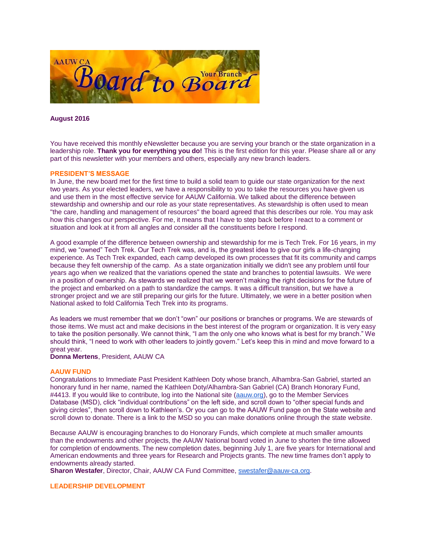

**August 2016**

You have received this monthly eNewsletter because you are serving your branch or the state organization in a leadership role. **Thank you for everything you do!** This is the first edition for this year. Please share all or any part of this newsletter with your members and others, especially any new branch leaders.

### **PRESIDENT'S MESSAGE**

In June, the new board met for the first time to build a solid team to guide our state organization for the next two years. As your elected leaders, we have a responsibility to you to take the resources you have given us and use them in the most effective service for AAUW California. We talked about the difference between stewardship and ownership and our role as your state representatives. As stewardship is often used to mean "the care, handling and management of resources" the board agreed that this describes our role. You may ask how this changes our perspective. For me, it means that I have to step back before I react to a comment or situation and look at it from all angles and consider all the constituents before I respond.

A good example of the difference between ownership and stewardship for me is Tech Trek. For 16 years, in my mind, we "owned" Tech Trek. Our Tech Trek was, and is, the greatest idea to give our girls a life-changing experience. As Tech Trek expanded, each camp developed its own processes that fit its community and camps because they felt ownership of the camp. As a state organization initially we didn't see any problem until four years ago when we realized that the variations opened the state and branches to potential lawsuits. We were in a position of ownership. As stewards we realized that we weren't making the right decisions for the future of the project and embarked on a path to standardize the camps. It was a difficult transition, but we have a stronger project and we are still preparing our girls for the future. Ultimately, we were in a better position when National asked to fold California Tech Trek into its programs.

As leaders we must remember that we don't "own" our positions or branches or programs. We are stewards of those items. We must act and make decisions in the best interest of the program or organization. It is very easy to take the position personally. We cannot think, "I am the only one who knows what is best for my branch." We should think, "I need to work with other leaders to jointly govern." Let's keep this in mind and move forward to a great year.

**Donna Mertens**, President, AAUW CA

### **AAUW FUND**

Congratulations to Immediate Past President Kathleen Doty whose branch, Alhambra-San Gabriel, started an honorary fund in her name, named the Kathleen Doty/Alhambra-San Gabriel (CA) Branch Honorary Fund, #4413. If you would like to contribute, log into the National site [\(aauw.org\)](http://aauw.org/), go to the Member Services Database (MSD), click "individual contributions" on the left side, and scroll down to "other special funds and giving circles", then scroll down to Kathleen's. Or you can go to the AAUW Fund page on the State website and scroll down to donate. There is a link to the MSD so you can make donations online through the state website.

Because AAUW is encouraging branches to do Honorary Funds, which complete at much smaller amounts than the endowments and other projects, the AAUW National board voted in June to shorten the time allowed for completion of endowments. The new completion dates, beginning July 1, are five years for International and American endowments and three years for Research and Projects grants. The new time frames don't apply to endowments already started.

**Sharon Westafer**, Director, Chair, AAUW CA Fund Committee, [swestafer@aauw-ca.org.](mailto:swestafer@aauw-ca.org)

### **LEADERSHIP DEVELOPMENT**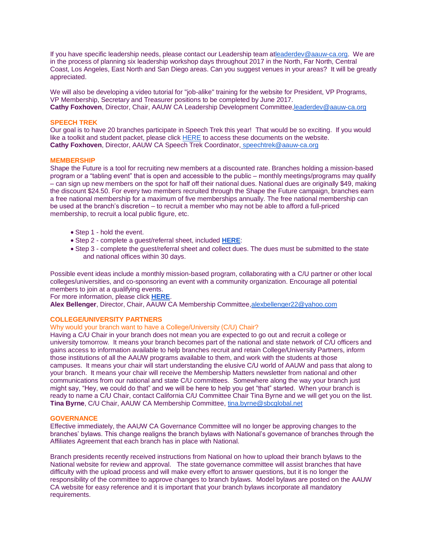If you have specific leadership needs, please contact our Leadership team [atleaderdev@aauw-ca.org.](mailto:leaderdev@aauw-ca.org) We are in the process of planning six leadership workshop days throughout 2017 in the North, Far North, Central Coast, Los Angeles, East North and San Diego areas. Can you suggest venues in your areas? It will be greatly appreciated.

We will also be developing a video tutorial for "job-alike" training for the website for President, VP Programs, VP Membership, Secretary and Treasurer positions to be completed by June 2017. **Cathy Foxhoven**, Director, Chair, AAUW CA Leadership Development Committe[e,leaderdev@aauw-ca.org](mailto:leaderdev@aauw-ca.org)

## **SPEECH TREK**

Our goal is to have 20 branches participate in Speech Trek this year! That would be so exciting. If you would like a toolkit and student packet, please click [HERE](http://www.aauw-ca.org/index.cfm?go=pages.view&pagesid=337&parent=197&coparent=337) to access these documents on the website. **Cathy Foxhoven**, Director, AAUW CA Speech Trek Coordinator, [speechtrek@aauw-ca.org](mailto:speechtrek@aauw-ca.org)

#### **MEMBERSHIP**

Shape the Future is a tool for recruiting new members at a discounted rate. Branches holding a mission-based program or a "tabling event" that is open and accessible to the public – monthly meetings/programs may qualify – can sign up new members on the spot for half off their national dues. National dues are originally \$49, making the discount \$24.50. For every two members recruited through the Shape the Future campaign, branches earn a free national membership for a maximum of five memberships annually. The free national membership can be used at the branch's discretion – to recruit a member who may not be able to afford a full-priced membership, to recruit a local public figure, etc.

- Step 1 hold the event.
- Step 2 complete a guest/referral sheet, included **[HERE](http://www.aauw.org/files/2013/06/ShapetheFuture_brochure-nsa.pdf)**:
- Step 3 complete the guest/referral sheet and collect dues. The dues must be submitted to the state and national offices within 30 days.

Possible event ideas include a monthly mission-based program, collaborating with a C/U partner or other local colleges/universities, and co-sponsoring an event with a community organization. Encourage all potential members to join at a qualifying events.

For more information, please click **[HERE](http://www.aauw.org/resource/shape-the-future-membership-campaign/)**.

**Alex Bellenger**, Director, Chair, AAUW CA Membership Committee[,alexbellenger22@yahoo.com](mailto:alexbellenger22@yahoo.com)

## **COLLEGE/UNIVERSITY PARTNERS**

### Why would your branch want to have a College/University (C/U) Chair?

Having a C/U Chair in your branch does not mean you are expected to go out and recruit a college or university tomorrow. It means your branch becomes part of the national and state network of C/U officers and gains access to information available to help branches recruit and retain College/University Partners, inform those institutions of all the AAUW programs available to them, and work with the students at those campuses. It means your chair will start understanding the elusive C/U world of AAUW and pass that along to your branch. It means your chair will receive the Membership Matters newsletter from national and other communications from our national and state C/U committees. Somewhere along the way your branch just might say, "Hey, we could do that" and we will be here to help you get "that" started. When your branch is ready to name a C/U Chair, contact California C/U Committee Chair Tina Byrne and we will get you on the list. **Tina Byrne**, C/U Chair, AAUW CA Membership Committee, [tina.byrne@sbcglobal.net](mailto:tina.byrne@sbcglobal.net)

## **GOVERNANCE**

Effective immediately, the AAUW CA Governance Committee will no longer be approving changes to the branches' bylaws. This change realigns the branch bylaws with National's governance of branches through the Affiliates Agreement that each branch has in place with National.

Branch presidents recently received instructions from National on how to upload their branch bylaws to the National website for review and approval. The state governance committee will assist branches that have difficulty with the upload process and will make every effort to answer questions, but it is no longer the responsibility of the committee to approve changes to branch bylaws. Model bylaws are posted on the AAUW CA website for easy reference and it is important that your branch bylaws incorporate all mandatory requirements.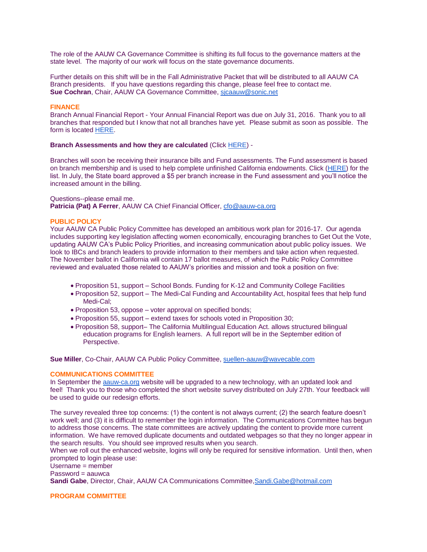The role of the AAUW CA Governance Committee is shifting its full focus to the governance matters at the state level. The majority of our work will focus on the state governance documents.

Further details on this shift will be in the Fall Administrative Packet that will be distributed to all AAUW CA Branch presidents. If you have questions regarding this change, please feel free to contact me. **Sue Cochran**, Chair, AAUW CA Governance Committee, [sjcaauw@sonic.net](mailto:sjcaauw@sonic.net)

#### **FINANCE**

Branch Annual Financial Report - Your Annual Financial Report was due on July 31, 2016. Thank you to all branches that responded but I know that not all branches have yet. Please submit as soon as possible. The form is located [HERE.](http://www.aauw-ca.org/Assets/resources/Branch_Annual_Financial_Report_2015.doc)

### **Branch Assessments and how they are calculated** (Click [HERE\)](http://www.aauw-ca.org/Assets/resources/Updated_Insurance_and_Fund_Assessments_Explanation.docx) -

Branches will soon be receiving their insurance bills and Fund assessments. The Fund assessment is based on branch membership and is used to help complete unfinished California endowments. Click [\(HERE\)](http://www.aauw-ca.org/Assets/resources/California__Unfinished__Edowments__2016.pdf) for the list. In July, the State board approved a \$5 per branch increase in the Fund assessment and you'll notice the increased amount in the billing.

#### Questions--please email me.

**Patricia (Pat) A Ferrer**, AAUW CA Chief Financial Officer, [cfo@aauw-ca.org](mailto:cfo@aauw-ca.org)

#### **PUBLIC POLICY**

Your AAUW CA Public Policy Committee has developed an ambitious work plan for 2016-17. Our agenda includes supporting key legislation affecting women economically, encouraging branches to Get Out the Vote, updating AAUW CA's Public Policy Priorities, and increasing communication about public policy issues. We look to IBCs and branch leaders to provide information to their members and take action when requested. The November ballot in California will contain 17 ballot measures, of which the Public Policy Committee reviewed and evaluated those related to AAUW's priorities and mission and took a position on five:

- Proposition 51, support School Bonds. Funding for K-12 and Community College Facilities
- Proposition 52, support The Medi-Cal Funding and Accountability Act, hospital fees that help fund Medi-Cal;
- Proposition 53, oppose voter approval on specified bonds;
- Proposition 55, support extend taxes for schools voted in Proposition 30;
- Proposition 58, support– The California Multilingual Education Act. allows structured bilingual education programs for English learners. A full report will be in the September edition of Perspective.

**Sue Miller**, Co-Chair, AAUW CA Public Policy Committee, [suellen-aauw@wavecable.com](mailto:suellen-aauw@wavecable.com)

#### **COMMUNICATIONS COMMITTEE**

In September the [aauw-ca.org](http://aauw-ca.org/) website will be upgraded to a new technology, with an updated look and feel! Thank you to those who completed the short website survey distributed on July 27th. Your feedback will be used to guide our redesign efforts.

The survey revealed three top concerns: (1) the content is not always current; (2) the search feature doesn't work well; and (3) it is difficult to remember the login information. The Communications Committee has begun to address those concerns. The state committees are actively updating the content to provide more current information. We have removed duplicate documents and outdated webpages so that they no longer appear in the search results. You should see improved results when you search.

When we roll out the enhanced website, logins will only be required for sensitive information. Until then, when prompted to login please use:

Username = member

 $Password = aauwca$ 

**Sandi Gabe**, Director, Chair, AAUW CA Communications Committee[,Sandi.Gabe@hotmail.com](mailto:Sandi.Gabe@hotmail.com)

# **PROGRAM COMMITTEE**